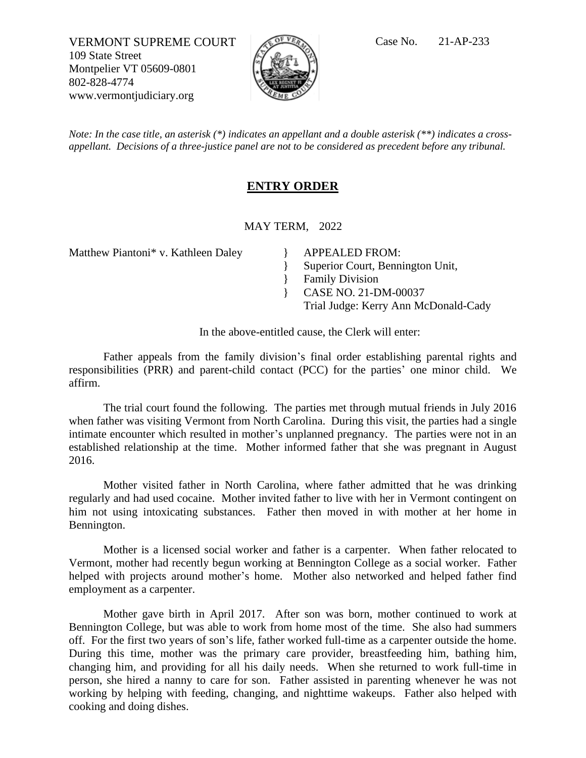VERMONT SUPREME COURT  $\sqrt{C}$ <sup>of VR</sup>A Case No. 21-AP-233 109 State Street Montpelier VT 05609-0801 802-828-4774 www.vermontjudiciary.org



*Note: In the case title, an asterisk (\*) indicates an appellant and a double asterisk (\*\*) indicates a crossappellant. Decisions of a three-justice panel are not to be considered as precedent before any tribunal.*

## **ENTRY ORDER**

MAY TERM, 2022

Matthew Piantoni\* v. Kathleen Daley <br> APPEALED FROM:

} Superior Court, Bennington Unit,

} Family Division

} CASE NO. 21-DM-00037

Trial Judge: Kerry Ann McDonald-Cady

In the above-entitled cause, the Clerk will enter:

Father appeals from the family division's final order establishing parental rights and responsibilities (PRR) and parent-child contact (PCC) for the parties' one minor child. We affirm.

The trial court found the following. The parties met through mutual friends in July 2016 when father was visiting Vermont from North Carolina. During this visit, the parties had a single intimate encounter which resulted in mother's unplanned pregnancy. The parties were not in an established relationship at the time. Mother informed father that she was pregnant in August 2016.

Mother visited father in North Carolina, where father admitted that he was drinking regularly and had used cocaine. Mother invited father to live with her in Vermont contingent on him not using intoxicating substances. Father then moved in with mother at her home in Bennington.

Mother is a licensed social worker and father is a carpenter. When father relocated to Vermont, mother had recently begun working at Bennington College as a social worker. Father helped with projects around mother's home. Mother also networked and helped father find employment as a carpenter.

Mother gave birth in April 2017. After son was born, mother continued to work at Bennington College, but was able to work from home most of the time. She also had summers off. For the first two years of son's life, father worked full-time as a carpenter outside the home. During this time, mother was the primary care provider, breastfeeding him, bathing him, changing him, and providing for all his daily needs. When she returned to work full-time in person, she hired a nanny to care for son. Father assisted in parenting whenever he was not working by helping with feeding, changing, and nighttime wakeups. Father also helped with cooking and doing dishes.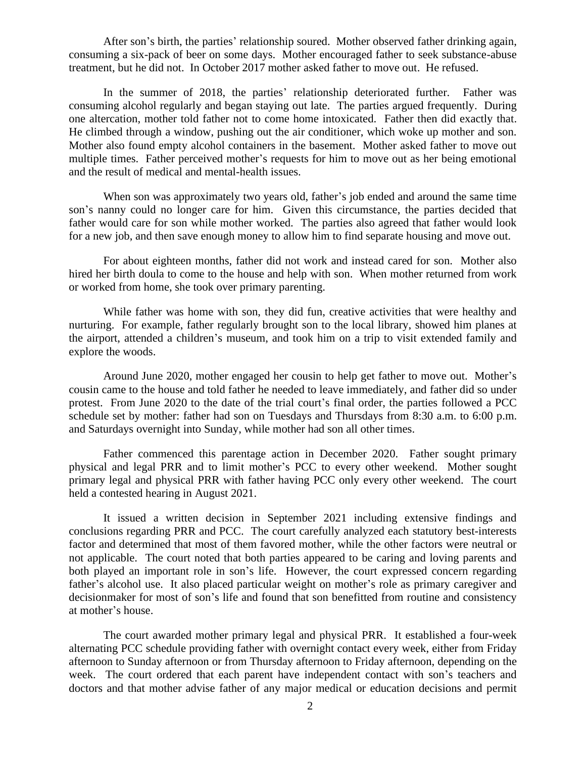After son's birth, the parties' relationship soured. Mother observed father drinking again, consuming a six-pack of beer on some days. Mother encouraged father to seek substance-abuse treatment, but he did not. In October 2017 mother asked father to move out. He refused.

In the summer of 2018, the parties' relationship deteriorated further. Father was consuming alcohol regularly and began staying out late. The parties argued frequently. During one altercation, mother told father not to come home intoxicated. Father then did exactly that. He climbed through a window, pushing out the air conditioner, which woke up mother and son. Mother also found empty alcohol containers in the basement. Mother asked father to move out multiple times. Father perceived mother's requests for him to move out as her being emotional and the result of medical and mental-health issues.

When son was approximately two years old, father's job ended and around the same time son's nanny could no longer care for him. Given this circumstance, the parties decided that father would care for son while mother worked. The parties also agreed that father would look for a new job, and then save enough money to allow him to find separate housing and move out.

For about eighteen months, father did not work and instead cared for son. Mother also hired her birth doula to come to the house and help with son. When mother returned from work or worked from home, she took over primary parenting.

While father was home with son, they did fun, creative activities that were healthy and nurturing. For example, father regularly brought son to the local library, showed him planes at the airport, attended a children's museum, and took him on a trip to visit extended family and explore the woods.

Around June 2020, mother engaged her cousin to help get father to move out. Mother's cousin came to the house and told father he needed to leave immediately, and father did so under protest. From June 2020 to the date of the trial court's final order, the parties followed a PCC schedule set by mother: father had son on Tuesdays and Thursdays from 8:30 a.m. to 6:00 p.m. and Saturdays overnight into Sunday, while mother had son all other times.

Father commenced this parentage action in December 2020. Father sought primary physical and legal PRR and to limit mother's PCC to every other weekend. Mother sought primary legal and physical PRR with father having PCC only every other weekend. The court held a contested hearing in August 2021.

It issued a written decision in September 2021 including extensive findings and conclusions regarding PRR and PCC. The court carefully analyzed each statutory best-interests factor and determined that most of them favored mother, while the other factors were neutral or not applicable. The court noted that both parties appeared to be caring and loving parents and both played an important role in son's life. However, the court expressed concern regarding father's alcohol use. It also placed particular weight on mother's role as primary caregiver and decisionmaker for most of son's life and found that son benefitted from routine and consistency at mother's house.

The court awarded mother primary legal and physical PRR. It established a four-week alternating PCC schedule providing father with overnight contact every week, either from Friday afternoon to Sunday afternoon or from Thursday afternoon to Friday afternoon, depending on the week. The court ordered that each parent have independent contact with son's teachers and doctors and that mother advise father of any major medical or education decisions and permit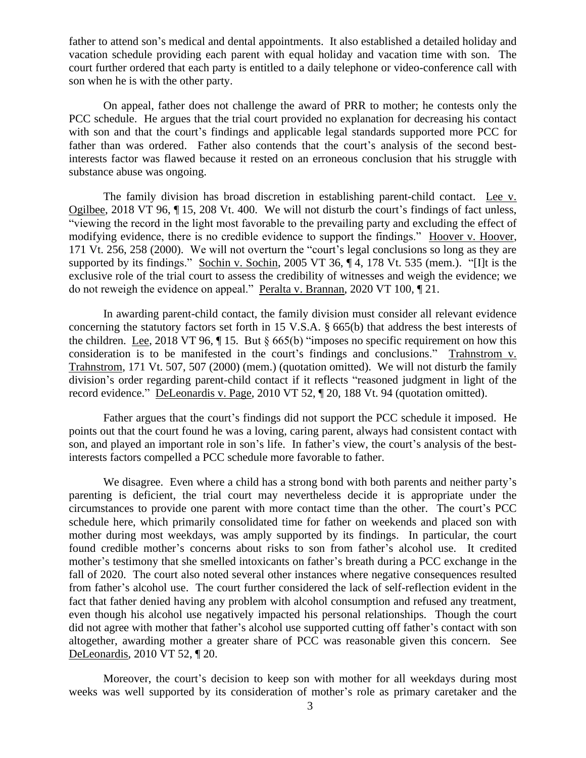father to attend son's medical and dental appointments. It also established a detailed holiday and vacation schedule providing each parent with equal holiday and vacation time with son. The court further ordered that each party is entitled to a daily telephone or video-conference call with son when he is with the other party.

On appeal, father does not challenge the award of PRR to mother; he contests only the PCC schedule. He argues that the trial court provided no explanation for decreasing his contact with son and that the court's findings and applicable legal standards supported more PCC for father than was ordered. Father also contends that the court's analysis of the second bestinterests factor was flawed because it rested on an erroneous conclusion that his struggle with substance abuse was ongoing.

The family division has broad discretion in establishing parent-child contact. Lee v. Ogilbee, 2018 VT 96, ¶ 15, 208 Vt. 400. We will not disturb the court's findings of fact unless, "viewing the record in the light most favorable to the prevailing party and excluding the effect of modifying evidence, there is no credible evidence to support the findings." Hoover v. Hoover, 171 Vt. 256, 258 (2000). We will not overturn the "court's legal conclusions so long as they are supported by its findings." Sochin v. Sochin, 2005 VT 36, ¶ 4, 178 Vt. 535 (mem.). "[I]t is the exclusive role of the trial court to assess the credibility of witnesses and weigh the evidence; we do not reweigh the evidence on appeal." Peralta v. Brannan, 2020 VT 100, ¶ 21.

In awarding parent-child contact, the family division must consider all relevant evidence concerning the statutory factors set forth in 15 V.S.A. § 665(b) that address the best interests of the children. Lee, 2018 VT 96,  $\P$  15. But  $\S$  665(b) "imposes no specific requirement on how this consideration is to be manifested in the court's findings and conclusions." Trahnstrom v. Trahnstrom, 171 Vt. 507, 507 (2000) (mem.) (quotation omitted). We will not disturb the family division's order regarding parent-child contact if it reflects "reasoned judgment in light of the record evidence." DeLeonardis v. Page, 2010 VT 52, ¶ 20, 188 Vt. 94 (quotation omitted).

Father argues that the court's findings did not support the PCC schedule it imposed. He points out that the court found he was a loving, caring parent, always had consistent contact with son, and played an important role in son's life. In father's view, the court's analysis of the bestinterests factors compelled a PCC schedule more favorable to father.

We disagree. Even where a child has a strong bond with both parents and neither party's parenting is deficient, the trial court may nevertheless decide it is appropriate under the circumstances to provide one parent with more contact time than the other. The court's PCC schedule here, which primarily consolidated time for father on weekends and placed son with mother during most weekdays, was amply supported by its findings. In particular, the court found credible mother's concerns about risks to son from father's alcohol use. It credited mother's testimony that she smelled intoxicants on father's breath during a PCC exchange in the fall of 2020. The court also noted several other instances where negative consequences resulted from father's alcohol use. The court further considered the lack of self-reflection evident in the fact that father denied having any problem with alcohol consumption and refused any treatment, even though his alcohol use negatively impacted his personal relationships. Though the court did not agree with mother that father's alcohol use supported cutting off father's contact with son altogether, awarding mother a greater share of PCC was reasonable given this concern. See DeLeonardis, 2010 VT 52, ¶ 20.

Moreover, the court's decision to keep son with mother for all weekdays during most weeks was well supported by its consideration of mother's role as primary caretaker and the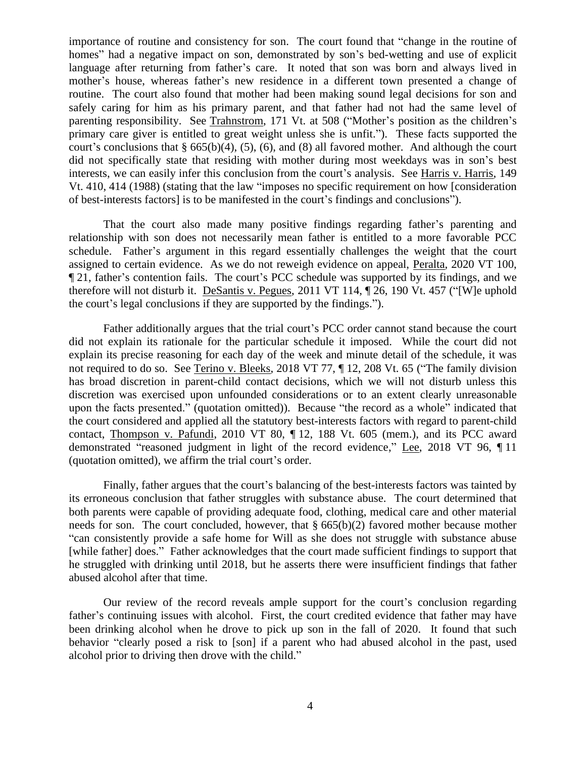importance of routine and consistency for son. The court found that "change in the routine of homes" had a negative impact on son, demonstrated by son's bed-wetting and use of explicit language after returning from father's care. It noted that son was born and always lived in mother's house, whereas father's new residence in a different town presented a change of routine. The court also found that mother had been making sound legal decisions for son and safely caring for him as his primary parent, and that father had not had the same level of parenting responsibility. See Trahnstrom, 171 Vt. at 508 ("Mother's position as the children's primary care giver is entitled to great weight unless she is unfit."). These facts supported the court's conclusions that  $\S 665(b)(4)$ , (5), (6), and (8) all favored mother. And although the court did not specifically state that residing with mother during most weekdays was in son's best interests, we can easily infer this conclusion from the court's analysis. See Harris v. Harris, 149 Vt. 410, 414 (1988) (stating that the law "imposes no specific requirement on how [consideration of best-interests factors] is to be manifested in the court's findings and conclusions").

That the court also made many positive findings regarding father's parenting and relationship with son does not necessarily mean father is entitled to a more favorable PCC schedule. Father's argument in this regard essentially challenges the weight that the court assigned to certain evidence. As we do not reweigh evidence on appeal, Peralta, 2020 VT 100, ¶ 21, father's contention fails. The court's PCC schedule was supported by its findings, and we therefore will not disturb it. DeSantis v. Pegues, 2011 VT 114, ¶ 26, 190 Vt. 457 ("[W]e uphold the court's legal conclusions if they are supported by the findings.").

Father additionally argues that the trial court's PCC order cannot stand because the court did not explain its rationale for the particular schedule it imposed. While the court did not explain its precise reasoning for each day of the week and minute detail of the schedule, it was not required to do so. See Terino v. Bleeks, 2018 VT 77, ¶ 12, 208 Vt. 65 ("The family division has broad discretion in parent-child contact decisions, which we will not disturb unless this discretion was exercised upon unfounded considerations or to an extent clearly unreasonable upon the facts presented." (quotation omitted)). Because "the record as a whole" indicated that the court considered and applied all the statutory best-interests factors with regard to parent-child contact, Thompson v. Pafundi, 2010 VT 80, ¶ 12, 188 Vt. 605 (mem.), and its PCC award demonstrated "reasoned judgment in light of the record evidence," Lee, 2018 VT 96, ¶ 11 (quotation omitted), we affirm the trial court's order.

Finally, father argues that the court's balancing of the best-interests factors was tainted by its erroneous conclusion that father struggles with substance abuse. The court determined that both parents were capable of providing adequate food, clothing, medical care and other material needs for son. The court concluded, however, that  $\S 665(b)(2)$  favored mother because mother "can consistently provide a safe home for Will as she does not struggle with substance abuse [while father] does." Father acknowledges that the court made sufficient findings to support that he struggled with drinking until 2018, but he asserts there were insufficient findings that father abused alcohol after that time.

Our review of the record reveals ample support for the court's conclusion regarding father's continuing issues with alcohol. First, the court credited evidence that father may have been drinking alcohol when he drove to pick up son in the fall of 2020. It found that such behavior "clearly posed a risk to [son] if a parent who had abused alcohol in the past, used alcohol prior to driving then drove with the child."